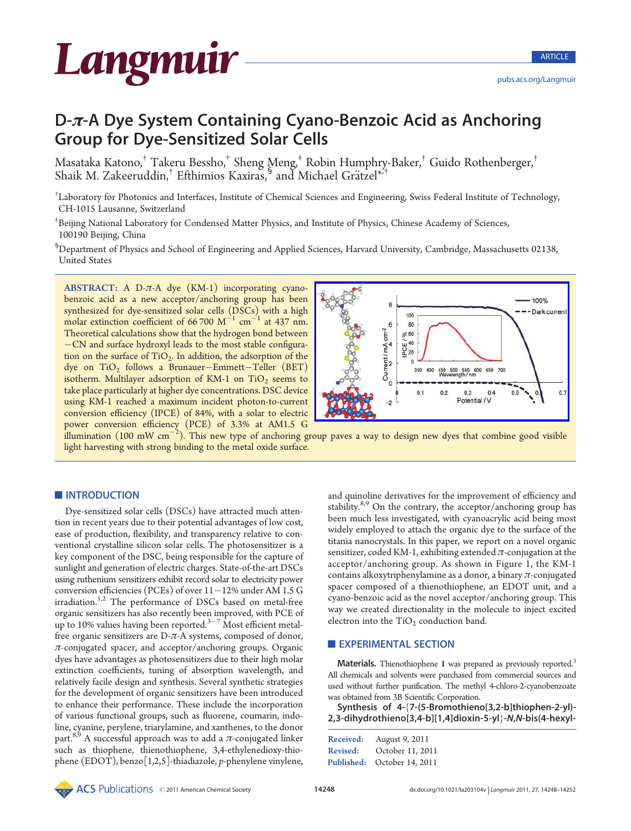

# D-π-A Dye System Containing Cyano-Benzoic Acid as Anchoring Group for Dye-Sensitized Solar Cells

Masataka Katono,† Takeru Bessho,† Sheng Meng,‡ Robin Humphry-Baker,† Guido Rothenberger,† Shaik M. Zakeeruddin, $^{\dagger}$  Efthimios Kaxiras, $^{\S}$  and Michael Grätzel $^{*,\dagger}$ 

† Laboratory for Photonics and Interfaces, Institute of Chemical Sciences and Engineering, Swiss Federal Institute of Technology, CH-1015 Lausanne, Switzerland

‡ Beijing National Laboratory for Condensed Matter Physics, and Institute of Physics, Chinese Academy of Sciences, 100190 Beijing, China

§ Department of Physics and School of Engineering and Applied Sciences, Harvard University, Cambridge, Massachusetts 02138, United States

ABSTRACT: A D- $\pi$ -A dye (KM-1) incorporating cyanobenzoic acid as a new acceptor/anchoring group has been synthesized for dye-sensitized solar cells (DSCs) with a high molar extinction coefficient of  $66700 \text{ M}^{-1} \text{ cm}^{-1}$  at 437 nm. Theoretical calculations show that the hydrogen bond between -CN and surface hydroxyl leads to the most stable configuration on the surface of  $TiO<sub>2</sub>$ . In addition, the adsorption of the dye on  $TiO<sub>2</sub>$  follows a Brunauer-Emmett-Teller (BET) isotherm. Multilayer adsorption of KM-1 on  $TiO<sub>2</sub>$  seems to take place particularly at higher dye concentrations. DSC device using KM-1 reached a maximum incident photon-to-current conversion efficiency (IPCE) of 84%, with a solar to electric power conversion efficiency (PCE) of 3.3% at AM1.5 G



 $\hat{\rm{d}}$ lumination (100 mW cm $^{-2}$ ). This new type of anchoring group paves a way to design new dyes that combine good visible light harvesting with strong binding to the metal oxide surface.

# INTRODUCTION

Dye-sensitized solar cells (DSCs) have attracted much attention in recent years due to their potential advantages of low cost, ease of production, flexibility, and transparency relative to conventional crystalline silicon solar cells. The photosensitizer is a key component of the DSC, being responsible for the capture of sunlight and generation of electric charges. State-of-the-art DSCs using ruthenium sensitizers exhibit record solar to electricity power conversion efficiencies (PCEs) of over  $11-12%$  under AM 1.5 G irradiation.<sup>1,2</sup> The performance of DSCs based on metal-free organic sensitizers has also recently been improved, with PCE of up to 10% values having been reported.<sup>3-7</sup> Most efficient metalfree organic sensitizers are  $D-\pi$ -A systems, composed of donor,  $\pi$ -conjugated spacer, and acceptor/anchoring groups. Organic dyes have advantages as photosensitizers due to their high molar extinction coefficients, tuning of absorption wavelength, and relatively facile design and synthesis. Several synthetic strategies for the development of organic sensitizers have been introduced to enhance their performance. These include the incorporation of various functional groups, such as fluorene, coumarin, indoline, cyanine, perylene, triarylamine, and xanthenes, to the donor part.<sup>8,9</sup> A successful approach was to add a  $\pi$ -conjugated linker such as thiophene, thienothiophene, 3,4-ethylenedioxy-thiophene (EDOT), benzo[1,2,5]-thiadiazole, p-phenylene vinylene,

and quinoline derivatives for the improvement of efficiency and stability. $8,9$  On the contrary, the acceptor/anchoring group has been much less investigated, with cyanoacrylic acid being most widely employed to attach the organic dye to the surface of the titania nanocrystals. In this paper, we report on a novel organic sensitizer, coded KM-1, exhibiting extended  $\pi$ -conjugation at the acceptor/anchoring group. As shown in Figure 1, the KM-1 contains alkoxytriphenylamine as a donor, a binary  $\pi$ -conjugated spacer composed of a thienothiophene, an EDOT unit, and a cyano-benzoic acid as the novel acceptor/anchoring group. This way we created directionality in the molecule to inject excited electron into the  $TiO<sub>2</sub>$  conduction band.

#### **EXPERIMENTAL SECTION**

Materials. Thienothiophene 1 was prepared as previously reported.<sup>3</sup> All chemicals and solvents were purchased from commercial sources and used without further purification. The methyl 4-chloro-2-cyanobenzoate was obtained from 3B Scientific Corporation.

Synthesis of 4-{7-(5-Bromothieno[3,2-b]thiophen-2-yl)- 2,3-dihydrothieno[3,4-b][1,4]dioxin-5-yl}-N,N-bis(4-hexyl-

| Received:       | August 9, 2011              |
|-----------------|-----------------------------|
| <b>Revised:</b> | October 11, 2011            |
|                 | Published: October 14, 2011 |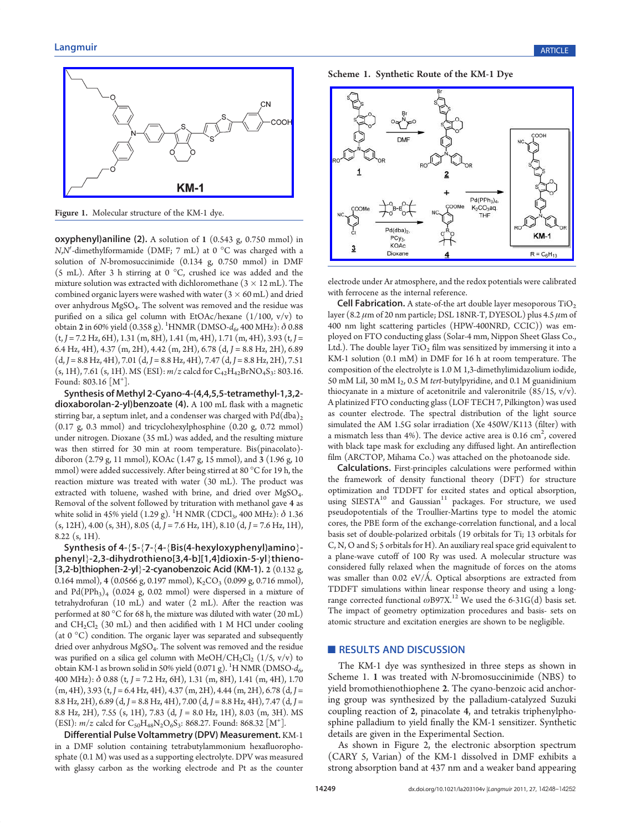

Figure 1. Molecular structure of the KM-1 dye.

 $oxyphenyl$ )aniline (2). A solution of 1 (0.543 g, 0.750 mmol) in  $N$ , $N'$ -dimethylformamide (DMF; 7 mL) at 0  $^{\circ}$ C was charged with a solution of N-bromosuccinimide (0.134 g, 0.750 mmol) in DMF (5 mL). After 3 h stirring at 0  $^{\circ}$ C, crushed ice was added and the mixture solution was extracted with dichloromethane  $(3 \times 12 \text{ mL})$ . The combined organic layers were washed with water  $(3 \times 60 \text{ mL})$  and dried over anhydrous MgSO4. The solvent was removed and the residue was purified on a silica gel column with EtOAc/hexane (1/100, v/v) to obtain **2** in 60% yield  $(0.358 \text{ g})$ . <sup>1</sup>HNMR  $(DMSO-d<sub>6</sub>, 400 MHz)$ :  $\delta$  0.88  $(t, J = 7.2 \text{ Hz}, 6\text{H})$ , 1.31 (m, 8H), 1.41 (m, 4H), 1.71 (m, 4H), 3.93 (t, J = 6.4 Hz, 4H), 4.37 (m, 2H), 4.42 (m, 2H), 6.78 (d, J = 8.8 Hz, 2H), 6.89  $(d, J = 8.8 \text{ Hz}, 4\text{H}), 7.01 (d, J = 8.8 \text{ Hz}, 4\text{H}), 7.47 (d, J = 8.8 \text{ Hz}, 2\text{H}), 7.51$  $(s, 1H)$ , 7.61  $(s, 1H)$ . MS  $(ESI): m/z$  calcd for  $C_{42}H_{42}BrNO_4S_3$ : 803.16. Found:  $803.16$  [M<sup>+</sup>].

Synthesis of Methyl 2-Cyano-4-(4,4,5,5-tetramethyl-1,3,2 dioxaborolan-2-yl)benzoate (4). A 100 mL flask with a magnetic stirring bar, a septum inlet, and a condenser was charged with  $\rm{Pd(dba)}_{2}$ (0.17 g, 0.3 mmol) and tricyclohexylphosphine (0.20 g, 0.72 mmol) under nitrogen. Dioxane (35 mL) was added, and the resulting mixture was then stirred for 30 min at room temperature. Bis(pinacolato) diboron (2.79 g, 11 mmol), KOAc (1.47 g, 15 mmol), and 3 (1.96 g, 10 mmol) were added successively. After being stirred at 80  $^{\circ}$ C for 19 h, the reaction mixture was treated with water (30 mL). The product was extracted with toluene, washed with brine, and dried over MgSO<sub>4</sub>. Removal of the solvent followed by trituration with methanol gave 4 as white solid in 45% yield (1.29 g).  $^{1}$ H NMR (CDCl<sub>3</sub>, 400 MHz):  $\delta$  1.36  $(s, 12H)$ , 4.00  $(s, 3H)$ , 8.05  $(d, J = 7.6 \text{ Hz}, 1H)$ , 8.10  $(d, J = 7.6 \text{ Hz}, 1H)$ , 8.22 (s, 1H).

Synthesis of 4-{5-{7-{4-{Bis(4-hexyloxyphenyl)amino} phenyl}-2,3-dihydrothieno[3,4-b][1,4]dioxin-5-yl}thieno- [3,2-b]thiophen-2-yl}-2-cyanobenzoic Acid (KM-1). 2  $(0.132 g, 1.12 g, 1.14 g, 1.14 g, 1.14 g, 1.14 g, 1.14 g, 1.14 g, 1.14 g, 1.14 g, 1.14 g, 1.14 g, 1.14 g, 1.14 g, 1.14 g, 1.14 g, 1.14 g, 1.14 g, 1.14 g, 1.14 g, 1.14 g, 1.14 g, 1.14 g, 1.14 g$ 0.164 mmol), 4 (0.0566 g, 0.197 mmol),  $K_2CO_3$  (0.099 g, 0.716 mmol), and  $Pd(PPh<sub>3</sub>)<sub>4</sub>$  (0.024 g, 0.02 mmol) were dispersed in a mixture of tetrahydrofuran (10 mL) and water (2 mL). After the reaction was performed at 80  $\mathrm{^{\circ}C}$  for 68 h, the mixture was diluted with water (20 mL) and  $CH_2Cl_2$  (30 mL) and then acidified with 1 M HCl under cooling (at  $0^{\circ}$ C) condition. The organic layer was separated and subsequently dried over anhydrous MgSO<sub>4</sub>. The solvent was removed and the residue was purified on a silica gel column with  $MeOH/CH_2Cl_2$  (1/5, v/v) to obtain KM-1 as brown solid in 50% yield (0.071 g). <sup>1</sup>H NMR (DMSO- $d_{6}$ , 400 MHz):  $\delta$  0.88 (t, J = 7.2 Hz, 6H), 1.31 (m, 8H), 1.41 (m, 4H), 1.70  $(m, 4H)$ , 3.93 (t, J = 6.4 Hz, 4H), 4.37 (m, 2H), 4.44 (m, 2H), 6.78 (d, J = 8.8 Hz, 2H), 6.89 (d, J = 8.8 Hz, 4H), 7.00 (d, J = 8.8 Hz, 4H), 7.47 (d, J = 8.8 Hz, 2H), 7.55 (s, 1H), 7.83 (d, J = 8.0 Hz, 1H), 8.03 (m, 3H). MS (ESI):  $m/z$  calcd for  $C_{50}H_{48}N_2O_6S_3$ : 868.27. Found: 868.32 [M<sup>+</sup>].

Differential Pulse Voltammetry (DPV) Measurement. KM-1 in a DMF solution containing tetrabutylammonium hexafluorophosphate (0.1 M) was used as a supporting electrolyte. DPV was measured with glassy carbon as the working electrode and Pt as the counter





electrode under Ar atmosphere, and the redox potentials were calibrated with ferrocene as the internal reference.

**Cell Fabrication.** A state-of-the art double layer mesoporous  $TiO<sub>2</sub>$ layer (8.2  $\mu$ m of 20 nm particle; DSL 18NR-T, DYESOL) plus 4.5  $\mu$ m of 400 nm light scattering particles (HPW-400NRD, CCIC)) was employed on FTO conducting glass (Solar-4 mm, Nippon Sheet Glass Co., Ltd.). The double layer  $TiO<sub>2</sub>$  film was sensitized by immersing it into a KM-1 solution (0.1 mM) in DMF for 16 h at room temperature. The composition of the electrolyte is 1.0 M 1,3-dimethylimidazolium iodide, 50 mM LiI, 30 mM I<sub>2</sub>, 0.5 M tert-butylpyridine, and 0.1 M guanidinium thiocyanate in a mixture of acetonitrile and valeronitrile  $(85/15, v/v)$ . A platinized FTO conducting glass (LOF TECH 7, Pilkington) was used as counter electrode. The spectral distribution of the light source simulated the AM 1.5G solar irradiation (Xe 450W/K113 (filter) with a mismatch less than 4%). The device active area is 0.16  $\mathrm{cm}^2$ , covered with black tape mask for excluding any diffused light. An antireflection film (ARCTOP, Mihama Co.) was attached on the photoanode side.

Calculations. First-principles calculations were performed within the framework of density functional theory (DFT) for structure optimization and TDDFT for excited states and optical absorption, using  $SIESTA^{10}$  and  $Gaussian^{11}$  packages. For structure, we used pseudopotentials of the Troullier-Martins type to model the atomic cores, the PBE form of the exchange-correlation functional, and a local basis set of double-polarized orbitals (19 orbitals for Ti; 13 orbitals for C, N, O and S; 5 orbitals for H). An auxiliary real space grid equivalent to a plane-wave cutoff of 100 Ry was used. A molecular structure was considered fully relaxed when the magnitude of forces on the atoms was smaller than 0.02 eV/Å. Optical absorptions are extracted from TDDFT simulations within linear response theory and using a longrange corrected functional  $\omega$ B97X.<sup>12</sup> We used the 6-31G(d) basis set. The impact of geometry optimization procedures and basis- sets on atomic structure and excitation energies are shown to be negligible.

#### **RESULTS AND DISCUSSION**

The KM-1 dye was synthesized in three steps as shown in Scheme 1. 1 was treated with N-bromosuccinimide (NBS) to yield bromothienothiophene 2. The cyano-benzoic acid anchoring group was synthesized by the palladium-catalyzed Suzuki coupling reaction of 2, pinacolate 4, and tetrakis triphenylphosphine palladium to yield finally the KM-1 sensitizer. Synthetic details are given in the Experimental Section.

As shown in Figure 2, the electronic absorption spectrum (CARY 5, Varian) of the KM-1 dissolved in DMF exhibits a strong absorption band at 437 nm and a weaker band appearing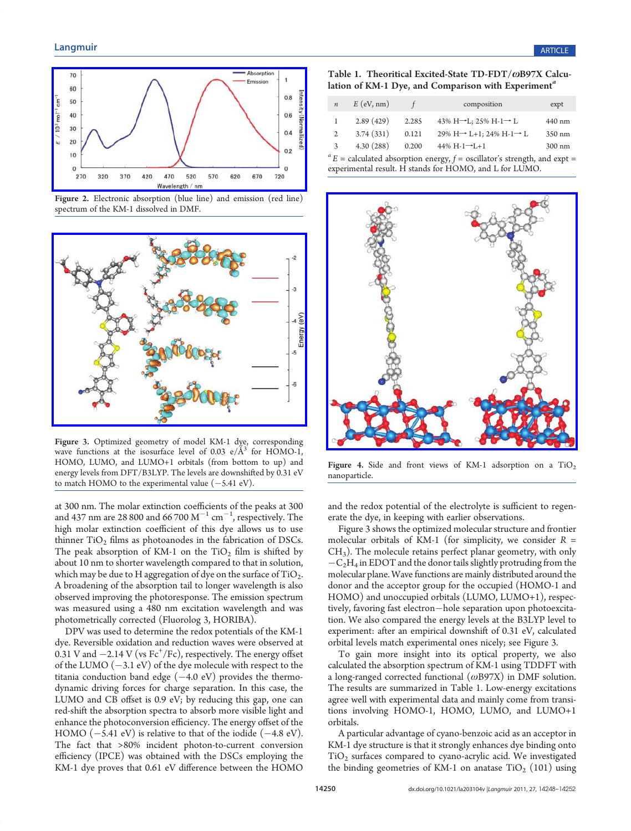

Figure 2. [Electronic](http://pubs.acs.org/action/showImage?doi=10.1021/la203104v&iName=master.img-003.jpg&w=240&h=114) [absorption](http://pubs.acs.org/action/showImage?doi=10.1021/la203104v&iName=master.img-003.jpg&w=240&h=114) [\(blue](http://pubs.acs.org/action/showImage?doi=10.1021/la203104v&iName=master.img-003.jpg&w=240&h=114) [line\)](http://pubs.acs.org/action/showImage?doi=10.1021/la203104v&iName=master.img-003.jpg&w=240&h=114) [and](http://pubs.acs.org/action/showImage?doi=10.1021/la203104v&iName=master.img-003.jpg&w=240&h=114) [emission](http://pubs.acs.org/action/showImage?doi=10.1021/la203104v&iName=master.img-003.jpg&w=240&h=114) [\(red](http://pubs.acs.org/action/showImage?doi=10.1021/la203104v&iName=master.img-003.jpg&w=240&h=114) [line\)](http://pubs.acs.org/action/showImage?doi=10.1021/la203104v&iName=master.img-003.jpg&w=240&h=114) spectrum of the KM-1 dissolved in DMF.



Figure 3. Optimized geometry of model KM-1 dye, corresponding wave functions at the isosurface level of 0.03  $e/\AA$ <sup>3</sup> for HOMO-1, HOMO, LUMO, and LUMO+1 orbitals (from bottom to up) and energy levels from DFT/B3LYP. The levels are downshifted by 0.31 eV to match HOMO to the experimental value  $(-5.41 \text{ eV})$ .

at 300 nm. The molar extinction coefficients of the peaks at 300 and 437 nm are 28 800 and 66 700  $M^{-1}$  cm<sup>-1</sup>, respectively. The high molar extinction coefficient of this dye allows us to use thinner  $TiO<sub>2</sub>$  films as photoanodes in the fabrication of DSCs. The peak absorption of KM-1 on the  $TiO<sub>2</sub>$  film is shifted by about 10 nm to shorter wavelength compared to that in solution, which may be due to H aggregation of dye on the surface of  $TiO<sub>2</sub>$ . A broadening of the absorption tail to longer wavelength is also observed improving the photoresponse. The emission spectrum was measured using a 480 nm excitation wavelength and was photometrically corrected (Fluorolog 3, HORIBA).

DPV was used to determine the redox potentials of the KM-1 dye. Reversible oxidation and reduction waves were observed at  $0.31$  V and  $-2.14$  V (vs Fc<sup>+</sup>/Fc), respectively. The energy offset of the LUMO  $(-3.1 \text{ eV})$  of the dye molecule with respect to the titania conduction band edge  $(-4.0 \text{ eV})$  provides the thermodynamic driving forces for charge separation. In this case, the LUMO and CB offset is 0.9 eV; by reducing this gap, one can red-shift the absorption spectra to absorb more visible light and enhance the photoconversion efficiency. The energy offset of the HOMO  $(-5.41 \text{ eV})$  is relative to that of the iodide  $(-4.8 \text{ eV})$ . The fact that >80% incident photon-to-current conversion efficiency (IPCE) was obtained with the DSCs employing the KM-1 dye proves that 0.61 eV difference between the HOMO

Table 1. Theoritical Excited-State TD-FDT/ωB97X Calculation of KM-1 Dye, and Comparison with Experiment<sup>a</sup>

| $\boldsymbol{n}$ | $E$ (eV, nm) |       | composition                                         | expt             |
|------------------|--------------|-------|-----------------------------------------------------|------------------|
|                  | 2.89(429)    | 2.285 | 43% H $\rightarrow$ L; 25% H-1 $\rightarrow$ L      | 440 nm           |
| 2                | 3.74(331)    | 0.121 | $29\%$ H $\rightarrow$ L+1; 24% H-1 $\rightarrow$ L | 350 nm           |
| 3                | 4.30(288)    | 0.200 | 44% $H-1 \rightarrow L+1$                           | $300 \text{ nm}$ |

 ${}^{a}E$  = calculated absorption energy,  $f$  = oscillator's strength, and expt = experimental result. H stands for HOMO, and L for LUMO.



Figure 4. Side and front views of KM-1 adsorption on a  $TiO<sub>2</sub>$ nanoparticle.

and the redox potential of the electrolyte is sufficient to regenerate the dye, in keeping with earlier observations.

Figure 3 shows the optimized molecular structure and frontier molecular orbitals of KM-1 (for simplicity, we consider  $R =$  $CH<sub>3</sub>$ ). The molecule retains perfect planar geometry, with only  $-C<sub>2</sub>H<sub>4</sub>$  in EDOT and the donor tails slightly protruding from the molecular plane. Wave functions are mainly distributed around the donor and the acceptor group for the occupied (HOMO-1 and HOMO) and unoccupied orbitals (LUMO, LUMO+1), respectively, favoring fast electron-hole separation upon photoexcitation. We also compared the energy levels at the B3LYP level to experiment: after an empirical downshift of 0.31 eV, calculated orbital levels match experimental ones nicely; see Figure 3.

To gain more insight into its optical property, we also calculated the absorption spectrum of KM-1 using TDDFT with a long-ranged corrected functional  $(\omega B97X)$  in DMF solution. The results are summarized in Table 1. Low-energy excitations agree well with experimental data and mainly come from transitions involving HOMO-1, HOMO, LUMO, and LUMO+1 orbitals.

A particular advantage of cyano-benzoic acid as an acceptor in KM-1 dye structure is that it strongly enhances dye binding onto  $TiO<sub>2</sub>$  surfaces compared to cyano-acrylic acid. We investigated the binding geometries of KM-1 on anatase  $TiO<sub>2</sub>$  (101) using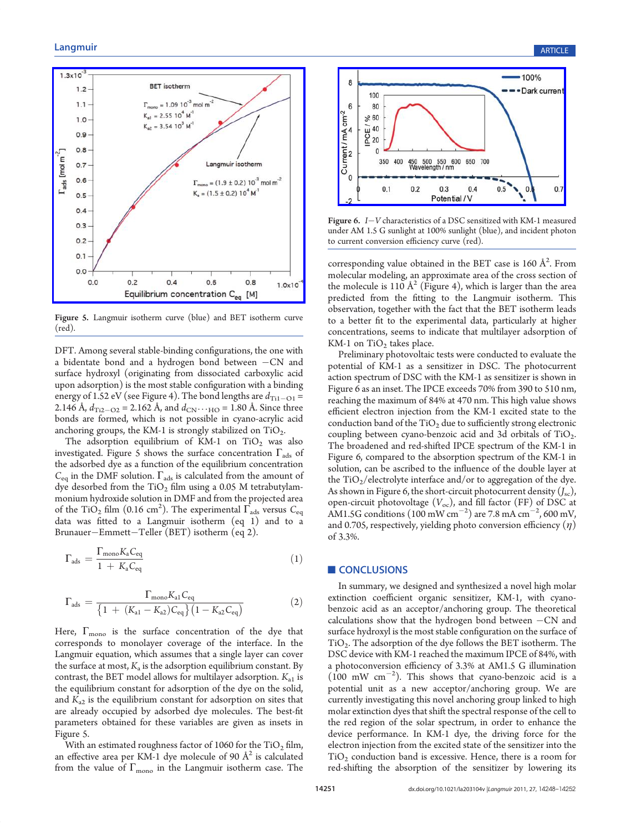

Figure 5. Langmuir isotherm curve (blue) and BET isotherm curve (red).

DFT. Among several stable-binding configurations, the one with a bidentate bond and a hydrogen bond between  $-CN$  and surface hydroxyl (originating from dissociated carboxylic acid upon adsorption) is the most stable configuration with a binding energy of 1.52 eV (see Figure 4). The bond lengths are  $d_{\text{Ti1}-\text{O1}}$  = 2.146 Å,  $d_{\text{Ti2}-\text{O2}} = 2.162$  Å, and  $d_{\text{CN}} \cdots$  HO = 1.80 Å. Since three bonds are formed, which is not possible in cyano-acrylic acid anchoring groups, the KM-1 is strongly stabilized on  $TiO<sub>2</sub>$ .

The adsorption equilibrium of KM-1 on  $TiO<sub>2</sub>$  was also investigated. Figure 5 shows the surface concentration  $\Gamma_{\text{ads}}$  of the adsorbed dye as a function of the equilibrium concentration  $C_{eq}$  in the DMF solution.  $\Gamma_{ads}$  is calculated from the amount of dye desorbed from the  $TiO<sub>2</sub>$  film using a 0.05 M tetrabutylammonium hydroxide solution in DMF and from the projected area of the TiO<sub>2</sub> film (0.16 cm<sup>2</sup>). The experimental  $\Gamma_{\text{ads}}$  versus  $C_{\text{eq}}$ data was fitted to a Langmuir isotherm (eq 1) and to a Brunauer-Emmett-Teller (BET) isotherm (eq 2).

$$
\Gamma_{\rm ads} = \frac{\Gamma_{\rm mono} K_{\rm a} C_{\rm eq}}{1 + K_{\rm a} C_{\rm eq}} \tag{1}
$$

$$
\Gamma_{\rm ads} = \frac{\Gamma_{\rm mono} K_{\rm al} C_{\rm eq}}{\left\{1 + (K_{\rm al} - K_{\rm a2}) C_{\rm eq}\right\}\left(1 - K_{\rm a2} C_{\rm eq}\right)}\tag{2}
$$

Here,  $\Gamma_{\rm mono}$  is the surface concentration of the dye that corresponds to monolayer coverage of the interface. In the Langmuir equation, which assumes that a single layer can cover the surface at most,  $K_a$  is the adsorption equilibrium constant. By contrast, the BET model allows for multilayer adsorption.  $K_{a1}$  is the equilibrium constant for adsorption of the dye on the solid, and  $K_{a2}$  is the equilibrium constant for adsorption on sites that are already occupied by adsorbed dye molecules. The best-fit parameters obtained for these variables are given as insets in Figure 5.

With an estimated roughness factor of 1060 for the  $TiO<sub>2</sub> film$ , an effective area per KM-1 dye molecule of 90  $\AA^2$  is calculated from the value of  $\Gamma_{\rm mono}$  in the Langmuir isotherm case. The



Figure 6.  $I-V$  characteristics of a DSC sensitized with KM-1 measured under AM 1.5 G sunlight at 100% sunlight (blue), and incident photon to current conversion efficiency curve (red).

corresponding value obtained in the BET case is 160  $\AA^2$ . From molecular modeling, an approximate area of the cross section of the molecule is 110  $\AA^2$  (Figure 4), which is larger than the area predicted from the fitting to the Langmuir isotherm. This observation, together with the fact that the BET isotherm leads to a better fit to the experimental data, particularly at higher concentrations, seems to indicate that multilayer adsorption of KM-1 on  $TiO<sub>2</sub>$  takes place.

Preliminary photovoltaic tests were conducted to evaluate the potential of KM-1 as a sensitizer in DSC. The photocurrent action spectrum of DSC with the KM-1 as sensitizer is shown in Figure 6 as an inset. The IPCE exceeds 70% from 390 to 510 nm, reaching the maximum of 84% at 470 nm. This high value shows efficient electron injection from the KM-1 excited state to the conduction band of the  $TiO<sub>2</sub>$  due to sufficiently strong electronic coupling between cyano-benzoic acid and 3d orbitals of  $TiO<sub>2</sub>$ . The broadened and red-shifted IPCE spectrum of the KM-1 in Figure 6, compared to the absorption spectrum of the KM-1 in solution, can be ascribed to the influence of the double layer at the  $TiO<sub>2</sub>/electrolyte interface and/or to aggregation of the dye.$ As shown in Figure 6, the short-circuit photocurrent density  $(J_{sc})$ , open-circuit photovoltage  $(V_{\text{oc}})$ , and fill factor (FF) of DSC at AM1.5G conditions (100 mW cm<sup>-2</sup>) are 7.8 mA cm<sup>-2</sup>, 600 mV, and 0.705, respectively, yielding photo conversion efficiency  $(\eta)$ of 3.3%.

#### CONCLUSIONS

In summary, we designed and synthesized a novel high molar extinction coefficient organic sensitizer, KM-1, with cyanobenzoic acid as an acceptor/anchoring group. The theoretical calculations show that the hydrogen bond between  $-CN$  and surface hydroxyl is the most stable configuration on the surface of TiO2. The adsorption of the dye follows the BET isotherm. The DSC device with KM-1 reached the maximum IPCE of 84%, with a photoconversion efficiency of 3.3% at AM1.5 G illumination  $(100 \text{ mW cm}^{-2})$ . This shows that cyano-benzoic acid is a potential unit as a new acceptor/anchoring group. We are currently investigating this novel anchoring group linked to high molar extinction dyes that shift the spectral response of the cell to the red region of the solar spectrum, in order to enhance the device performance. In KM-1 dye, the driving force for the electron injection from the excited state of the sensitizer into the  $TiO<sub>2</sub>$  conduction band is excessive. Hence, there is a room for red-shifting the absorption of the sensitizer by lowering its